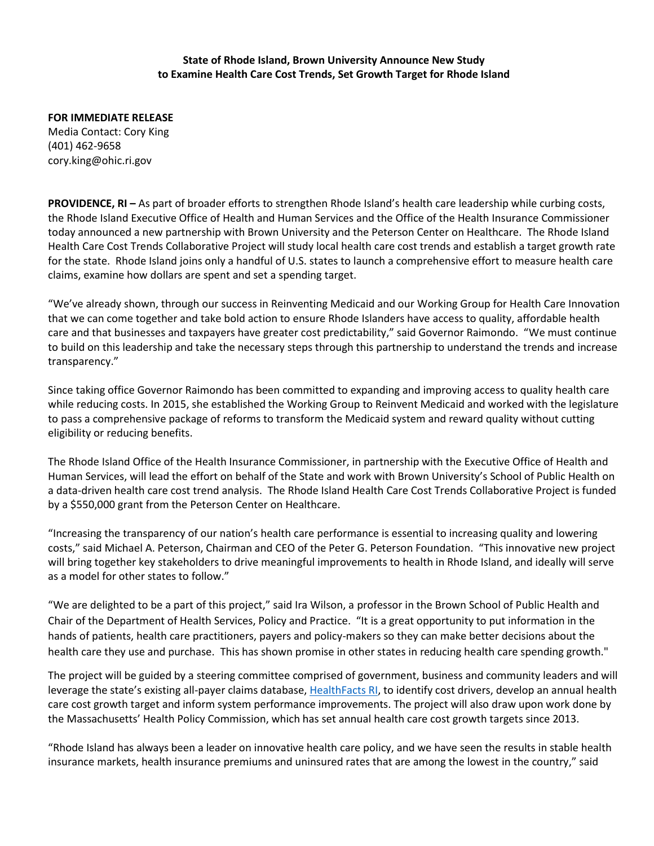## **State of Rhode Island, Brown University Announce New Study to Examine Health Care Cost Trends, Set Growth Target for Rhode Island**

**FOR IMMEDIATE RELEASE** Media Contact: Cory King (401) 462-9658 cory.king@ohic.ri.gov

**PROVIDENCE, RI –** As part of broader efforts to strengthen Rhode Island's health care leadership while curbing costs, the Rhode Island Executive Office of Health and Human Services and the Office of the Health Insurance Commissioner today announced a new partnership with Brown University and the Peterson Center on Healthcare. The Rhode Island Health Care Cost Trends Collaborative Project will study local health care cost trends and establish a target growth rate for the state. Rhode Island joins only a handful of U.S. states to launch a comprehensive effort to measure health care claims, examine how dollars are spent and set a spending target.

"We've already shown, through our success in Reinventing Medicaid and our Working Group for Health Care Innovation that we can come together and take bold action to ensure Rhode Islanders have access to quality, affordable health care and that businesses and taxpayers have greater cost predictability," said Governor Raimondo. "We must continue to build on this leadership and take the necessary steps through this partnership to understand the trends and increase transparency."

Since taking office Governor Raimondo has been committed to expanding and improving access to quality health care while reducing costs. In 2015, she established the Working Group to Reinvent Medicaid and worked with the legislature to pass a comprehensive package of reforms to transform the Medicaid system and reward quality without cutting eligibility or reducing benefits.

The Rhode Island Office of the Health Insurance Commissioner, in partnership with the Executive Office of Health and Human Services, will lead the effort on behalf of the State and work with Brown University's School of Public Health on a data-driven health care cost trend analysis. The Rhode Island Health Care Cost Trends Collaborative Project is funded by a \$550,000 grant from the Peterson Center on Healthcare.

"Increasing the transparency of our nation's health care performance is essential to increasing quality and lowering costs," said Michael A. Peterson, Chairman and CEO of the Peter G. Peterson Foundation. "This innovative new project will bring together key stakeholders to drive meaningful improvements to health in Rhode Island, and ideally will serve as a model for other states to follow."

"We are delighted to be a part of this project," said Ira Wilson, a professor in the Brown School of Public Health and Chair of the Department of Health Services, Policy and Practice. "It is a great opportunity to put information in the hands of patients, health care practitioners, payers and policy-makers so they can make better decisions about the health care they use and purchase. This has shown promise in other states in reducing health care spending growth."

The project will be guided by a steering committee comprised of government, business and community leaders and will leverage the state's existing all-payer claims database, [HealthFacts RI,](http://www.health.ri.gov/data/healthfactsri/) to identify cost drivers, develop an annual health care cost growth target and inform system performance improvements. The project will also draw upon work done by the Massachusetts' Health Policy Commission, which has set annual health care cost growth targets since 2013.

"Rhode Island has always been a leader on innovative health care policy, and we have seen the results in stable health insurance markets, health insurance premiums and uninsured rates that are among the lowest in the country," said